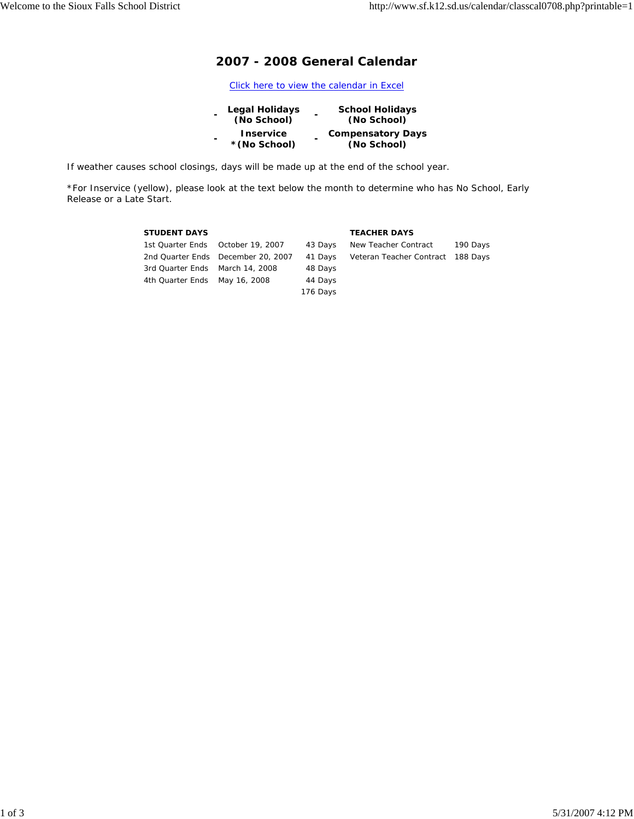# **2007 - 2008 General Calendar**

Click here to view the calendar in Excel

| $\blacksquare$ | Legal Holidays                    | <b>School Holidays</b>                  |
|----------------|-----------------------------------|-----------------------------------------|
|                | (No School)                       | (No School)                             |
| $\blacksquare$ | <b>Inservice</b><br>* (No School) | <b>Compensatory Days</b><br>(No School) |

If weather causes school closings, days will be made up at the end of the school year.

\*For Inservice (yellow), please look at the text below the month to determine who has No School, Early Release or a Late Start.

| <b>STUDENT DAYS</b>             |                                    |          | <b>TEACHER DAYS</b>               |          |
|---------------------------------|------------------------------------|----------|-----------------------------------|----------|
|                                 | 1st Quarter Ends October 19, 2007  | 43 Days  | New Teacher Contract              | 190 Days |
|                                 | 2nd Quarter Ends December 20, 2007 | 41 Days  | Veteran Teacher Contract 188 Days |          |
| 3rd Quarter Ends March 14, 2008 |                                    | 48 Days  |                                   |          |
| 4th Quarter Ends May 16, 2008   |                                    | 44 Days  |                                   |          |
|                                 |                                    | 176 Days |                                   |          |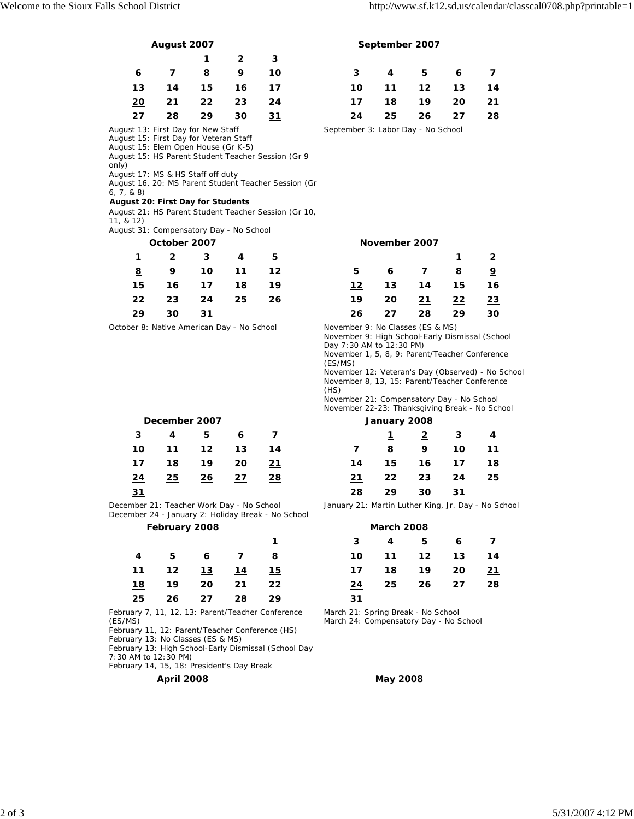|            |    |    | 2  | з  |  |
|------------|----|----|----|----|--|
| 6          | 7  | 8  | 9  | 10 |  |
| 13         | 14 | 15 | 16 | 17 |  |
| <u> 20</u> | 21 | 22 | 23 | 24 |  |
| 27         | 28 | 29 | 30 | 31 |  |

August 13: First Day for New Staff

August 15: First Day for Veteran Staff

August 15: Elem Open House (Gr K-5)

August 15: HS Parent Student Teacher Session (Gr 9 only)

August 17: MS & HS Staff off duty

August 16, 20: MS Parent Student Teacher Session (Gr

### 6, 7, & 8) *August 20: First Day for Students*

August 21: HS Parent Student Teacher Session (Gr 10, 11, & 12)

August 31: Compensatory Day - No School

| 1        | 2  | 3  | 4  | 5  |
|----------|----|----|----|----|
| <u>8</u> | 9  | 10 | 11 | 12 |
| 15       | 16 | 17 | 18 | 19 |
| 22       | 23 | 24 | 25 | 26 |
| 29       | 30 | 31 |    |    |

October 8: Native American Day - No School November 9: No Classes (ES & MS)

## December 2007

|        |  | 3 4 5 6 7                |  |  | $\frac{1}{2}$ $\frac{2}{3}$ $\frac{3}{4}$ |  |
|--------|--|--------------------------|--|--|-------------------------------------------|--|
|        |  | 10 11 12 13 14           |  |  | 7 8 9 10 11                               |  |
|        |  | 17  18  19  20 <u>21</u> |  |  | 14  15  16  17  18                        |  |
|        |  | <u>24 25 26 27 28</u>    |  |  | 21 22 23 24 25                            |  |
| $\sim$ |  |                          |  |  | $\sim$ $\sim$ $\sim$ $\sim$ $\sim$        |  |

December 21: Teacher Work Day - No School December 24 - January 2: Holiday Break - No School

## **February 2008**

|  |                          |  |    | 3 4 5 6 7          |     |
|--|--------------------------|--|----|--------------------|-----|
|  | 4 5 6 7 8                |  |    | 10 11 12 13 14     |     |
|  | 11  12 <u>13  14  15</u> |  |    | 17  18  19  20  21 |     |
|  | 18 19 20 21 22           |  |    | 24 25 26 27        | -28 |
|  | 25 26 27 28 29           |  | 31 |                    |     |

February 7, 11, 12, 13: Parent/Teacher Conference (ES/MS)

February 11, 12: Parent/Teacher Conference (HS)

February 13: No Classes (ES & MS)

February 13: High School-Early Dismissal (School Day

7:30 AM to 12:30 PM)

February 14, 15, 18: President's Day Break

## **April 2008 May 2008**

**August 2007 September 2007**

|  | 6 7 8 9 10               |  |  | $\frac{3}{2}$ 4 5 6 7 |  |
|--|--------------------------|--|--|-----------------------|--|
|  | 13  14  15  16  17       |  |  | 10  11  12  13  14    |  |
|  | 20 21 22 23 24           |  |  | 17  18  19  20  21    |  |
|  | 27  28  29  30 <u>31</u> |  |  | 24  25  26  27  28    |  |

September 3: Labor Day - No School

### **October 2007 November 2007**

| $1 \quad 2 \quad 3 \quad 4 \quad 5$ |  |  |  | $1 \quad 2$    |  |
|-------------------------------------|--|--|--|----------------|--|
| <u>8</u> 9 10 11 12                 |  |  |  | 5 6 7 8 9      |  |
| 15 16 17 18 19                      |  |  |  | 12 13 14 15 16 |  |
| 22 23 24 25 26                      |  |  |  | 19 20 21 22 23 |  |
| 29 30 31                            |  |  |  | 26 27 28 29 30 |  |

November 9: High School-Early Dismissal (School Day 7:30 AM to 12:30 PM)

November 1, 5, 8, 9: Parent/Teacher Conference (ES/MS)

November 12: Veteran's Day (Observed) - No School November 8, 13, 15: Parent/Teacher Conference (HS)

November 21: Compensatory Day - No School November 22-23: Thanksgiving Break - No School

|           | December 2007 |         |    |    | January 2008 |    |               |                         |    |
|-----------|---------------|---------|----|----|--------------|----|---------------|-------------------------|----|
| 3         | 4             | 5.      | 6  |    |              |    | $\frac{2}{3}$ | $\overline{\mathbf{3}}$ | -4 |
| 10        | 11            | $12 \,$ | 13 | 14 | $\mathbf{z}$ | -8 | 9             | 10                      | 11 |
| 17        | 18            | 19      | 20 | 21 | 14           | 15 | 16            | 17                      | 18 |
| <u>24</u> | 25            | 26      | 27 | 28 | 21           | 22 | 23            | 24                      | 25 |
| <u>31</u> |               |         |    |    | 28           | 29 | 30            | 31                      |    |

January 21: Martin Luther King, Jr. Day - No School

|            | February 2008 |    | $-$ |    |    | <b>March 2008</b> |         |    |    |  |  |
|------------|---------------|----|-----|----|----|-------------------|---------|----|----|--|--|
|            |               |    |     | 1  | 3  | 4                 | 5.      | 6  |    |  |  |
| 4          | 5.            | 6  | 7   | 8  | 10 | 11                | $12 \,$ | 13 | 14 |  |  |
| $\vert$ 1  | 12            | 13 | 14  | 15 | 17 | 18                | 19      | 20 | 21 |  |  |
| <u> 18</u> | 19            | 20 | 21  | 22 | 24 | 25                | 26      | 27 | 28 |  |  |
| 25         | 26            | 27 | 28  | 29 | 31 |                   |         |    |    |  |  |

March 21: Spring Break - No School

March 24: Compensatory Day - No School